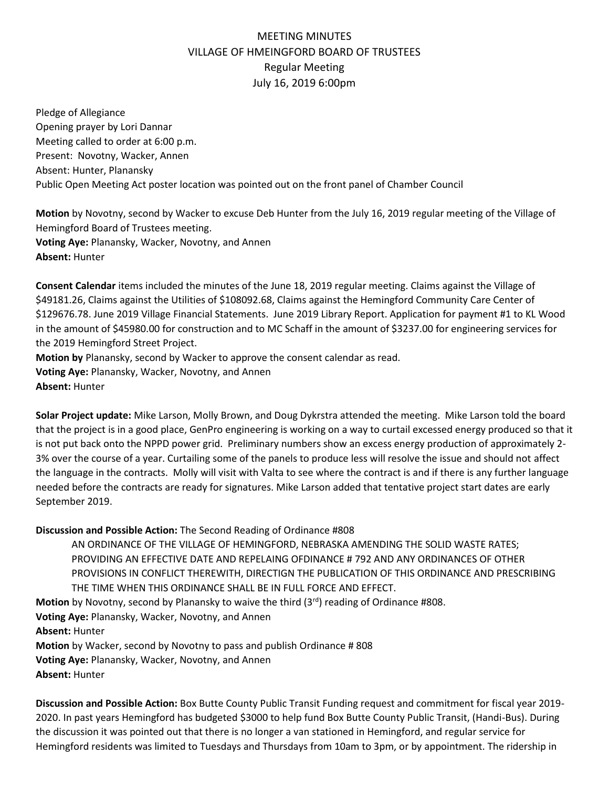## MEETING MINUTES VILLAGE OF HMEINGFORD BOARD OF TRUSTEES Regular Meeting July 16, 2019 6:00pm

Pledge of Allegiance Opening prayer by Lori Dannar Meeting called to order at 6:00 p.m. Present: Novotny, Wacker, Annen Absent: Hunter, Planansky Public Open Meeting Act poster location was pointed out on the front panel of Chamber Council

**Motion** by Novotny, second by Wacker to excuse Deb Hunter from the July 16, 2019 regular meeting of the Village of Hemingford Board of Trustees meeting. **Voting Aye:** Planansky, Wacker, Novotny, and Annen **Absent:** Hunter

**Consent Calendar** items included the minutes of the June 18, 2019 regular meeting. Claims against the Village of \$49181.26, Claims against the Utilities of \$108092.68, Claims against the Hemingford Community Care Center of \$129676.78. June 2019 Village Financial Statements. June 2019 Library Report. Application for payment #1 to KL Wood in the amount of \$45980.00 for construction and to MC Schaff in the amount of \$3237.00 for engineering services for the 2019 Hemingford Street Project.

**Motion by** Planansky, second by Wacker to approve the consent calendar as read. **Voting Aye:** Planansky, Wacker, Novotny, and Annen **Absent:** Hunter

**Solar Project update:** Mike Larson, Molly Brown, and Doug Dykrstra attended the meeting. Mike Larson told the board that the project is in a good place, GenPro engineering is working on a way to curtail excessed energy produced so that it is not put back onto the NPPD power grid. Preliminary numbers show an excess energy production of approximately 2- 3% over the course of a year. Curtailing some of the panels to produce less will resolve the issue and should not affect the language in the contracts. Molly will visit with Valta to see where the contract is and if there is any further language needed before the contracts are ready for signatures. Mike Larson added that tentative project start dates are early September 2019.

## **Discussion and Possible Action:** The Second Reading of Ordinance #808

AN ORDINANCE OF THE VILLAGE OF HEMINGFORD, NEBRASKA AMENDING THE SOLID WASTE RATES; PROVIDING AN EFFECTIVE DATE AND REPELAING OFDINANCE # 792 AND ANY ORDINANCES OF OTHER PROVISIONS IN CONFLICT THEREWITH, DIRECTIGN THE PUBLICATION OF THIS ORDINANCE AND PRESCRIBING THE TIME WHEN THIS ORDINANCE SHALL BE IN FULL FORCE AND EFFECT.

**Motion** by Novotny, second by Planansky to waive the third (3<sup>rd</sup>) reading of Ordinance #808.

**Voting Aye:** Planansky, Wacker, Novotny, and Annen

**Absent:** Hunter

**Motion** by Wacker, second by Novotny to pass and publish Ordinance # 808

**Voting Aye:** Planansky, Wacker, Novotny, and Annen

**Absent:** Hunter

**Discussion and Possible Action:** Box Butte County Public Transit Funding request and commitment for fiscal year 2019- 2020. In past years Hemingford has budgeted \$3000 to help fund Box Butte County Public Transit, (Handi-Bus). During the discussion it was pointed out that there is no longer a van stationed in Hemingford, and regular service for Hemingford residents was limited to Tuesdays and Thursdays from 10am to 3pm, or by appointment. The ridership in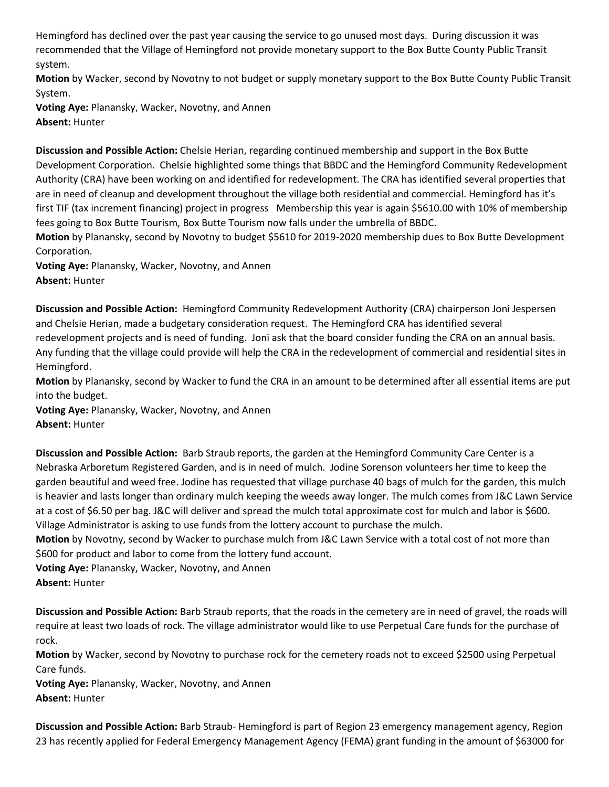Hemingford has declined over the past year causing the service to go unused most days. During discussion it was recommended that the Village of Hemingford not provide monetary support to the Box Butte County Public Transit system.

**Motion** by Wacker, second by Novotny to not budget or supply monetary support to the Box Butte County Public Transit System.

**Voting Aye:** Planansky, Wacker, Novotny, and Annen **Absent:** Hunter

**Discussion and Possible Action:** Chelsie Herian, regarding continued membership and support in the Box Butte Development Corporation. Chelsie highlighted some things that BBDC and the Hemingford Community Redevelopment Authority (CRA) have been working on and identified for redevelopment. The CRA has identified several properties that are in need of cleanup and development throughout the village both residential and commercial. Hemingford has it's first TIF (tax increment financing) project in progress Membership this year is again \$5610.00 with 10% of membership fees going to Box Butte Tourism, Box Butte Tourism now falls under the umbrella of BBDC.

**Motion** by Planansky, second by Novotny to budget \$5610 for 2019-2020 membership dues to Box Butte Development Corporation.

**Voting Aye:** Planansky, Wacker, Novotny, and Annen **Absent:** Hunter

**Discussion and Possible Action:** Hemingford Community Redevelopment Authority (CRA) chairperson Joni Jespersen and Chelsie Herian, made a budgetary consideration request. The Hemingford CRA has identified several redevelopment projects and is need of funding. Joni ask that the board consider funding the CRA on an annual basis. Any funding that the village could provide will help the CRA in the redevelopment of commercial and residential sites in Hemingford.

**Motion** by Planansky, second by Wacker to fund the CRA in an amount to be determined after all essential items are put into the budget.

**Voting Aye:** Planansky, Wacker, Novotny, and Annen **Absent:** Hunter

**Discussion and Possible Action:** Barb Straub reports, the garden at the Hemingford Community Care Center is a Nebraska Arboretum Registered Garden, and is in need of mulch. Jodine Sorenson volunteers her time to keep the garden beautiful and weed free. Jodine has requested that village purchase 40 bags of mulch for the garden, this mulch is heavier and lasts longer than ordinary mulch keeping the weeds away longer. The mulch comes from J&C Lawn Service at a cost of \$6.50 per bag. J&C will deliver and spread the mulch total approximate cost for mulch and labor is \$600. Village Administrator is asking to use funds from the lottery account to purchase the mulch.

**Motion** by Novotny, second by Wacker to purchase mulch from J&C Lawn Service with a total cost of not more than \$600 for product and labor to come from the lottery fund account.

**Voting Aye:** Planansky, Wacker, Novotny, and Annen **Absent:** Hunter

**Discussion and Possible Action:** Barb Straub reports, that the roads in the cemetery are in need of gravel, the roads will require at least two loads of rock. The village administrator would like to use Perpetual Care funds for the purchase of rock.

**Motion** by Wacker, second by Novotny to purchase rock for the cemetery roads not to exceed \$2500 using Perpetual Care funds.

**Voting Aye:** Planansky, Wacker, Novotny, and Annen **Absent:** Hunter

**Discussion and Possible Action:** Barb Straub- Hemingford is part of Region 23 emergency management agency, Region 23 has recently applied for Federal Emergency Management Agency (FEMA) grant funding in the amount of \$63000 for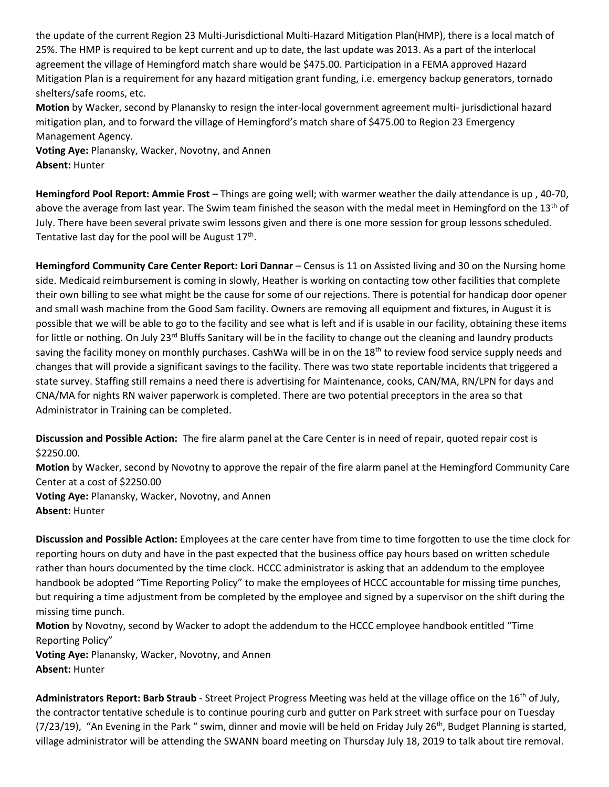the update of the current Region 23 Multi-Jurisdictional Multi-Hazard Mitigation Plan(HMP), there is a local match of 25%. The HMP is required to be kept current and up to date, the last update was 2013. As a part of the interlocal agreement the village of Hemingford match share would be \$475.00. Participation in a FEMA approved Hazard Mitigation Plan is a requirement for any hazard mitigation grant funding, i.e. emergency backup generators, tornado shelters/safe rooms, etc.

**Motion** by Wacker, second by Planansky to resign the inter-local government agreement multi- jurisdictional hazard mitigation plan, and to forward the village of Hemingford's match share of \$475.00 to Region 23 Emergency Management Agency.

**Voting Aye:** Planansky, Wacker, Novotny, and Annen **Absent:** Hunter

**Hemingford Pool Report: Ammie Frost** – Things are going well; with warmer weather the daily attendance is up , 40-70, above the average from last year. The Swim team finished the season with the medal meet in Hemingford on the 13<sup>th</sup> of July. There have been several private swim lessons given and there is one more session for group lessons scheduled. Tentative last day for the pool will be August  $17<sup>th</sup>$ .

**Hemingford Community Care Center Report: Lori Dannar** – Census is 11 on Assisted living and 30 on the Nursing home side. Medicaid reimbursement is coming in slowly, Heather is working on contacting tow other facilities that complete their own billing to see what might be the cause for some of our rejections. There is potential for handicap door opener and small wash machine from the Good Sam facility. Owners are removing all equipment and fixtures, in August it is possible that we will be able to go to the facility and see what is left and if is usable in our facility, obtaining these items for little or nothing. On July 23<sup>rd</sup> Bluffs Sanitary will be in the facility to change out the cleaning and laundry products saving the facility money on monthly purchases. CashWa will be in on the 18<sup>th</sup> to review food service supply needs and changes that will provide a significant savings to the facility. There was two state reportable incidents that triggered a state survey. Staffing still remains a need there is advertising for Maintenance, cooks, CAN/MA, RN/LPN for days and CNA/MA for nights RN waiver paperwork is completed. There are two potential preceptors in the area so that Administrator in Training can be completed.

**Discussion and Possible Action:** The fire alarm panel at the Care Center is in need of repair, quoted repair cost is \$2250.00.

**Motion** by Wacker, second by Novotny to approve the repair of the fire alarm panel at the Hemingford Community Care Center at a cost of \$2250.00

**Voting Aye:** Planansky, Wacker, Novotny, and Annen **Absent:** Hunter

**Discussion and Possible Action:** Employees at the care center have from time to time forgotten to use the time clock for reporting hours on duty and have in the past expected that the business office pay hours based on written schedule rather than hours documented by the time clock. HCCC administrator is asking that an addendum to the employee handbook be adopted "Time Reporting Policy" to make the employees of HCCC accountable for missing time punches, but requiring a time adjustment from be completed by the employee and signed by a supervisor on the shift during the missing time punch.

**Motion** by Novotny, second by Wacker to adopt the addendum to the HCCC employee handbook entitled "Time Reporting Policy"

**Voting Aye:** Planansky, Wacker, Novotny, and Annen

**Absent:** Hunter

**Administrators Report: Barb Straub** - Street Project Progress Meeting was held at the village office on the 16th of July, the contractor tentative schedule is to continue pouring curb and gutter on Park street with surface pour on Tuesday  $(7/23/19)$ , "An Evening in the Park " swim, dinner and movie will be held on Friday July 26<sup>th</sup>, Budget Planning is started, village administrator will be attending the SWANN board meeting on Thursday July 18, 2019 to talk about tire removal.